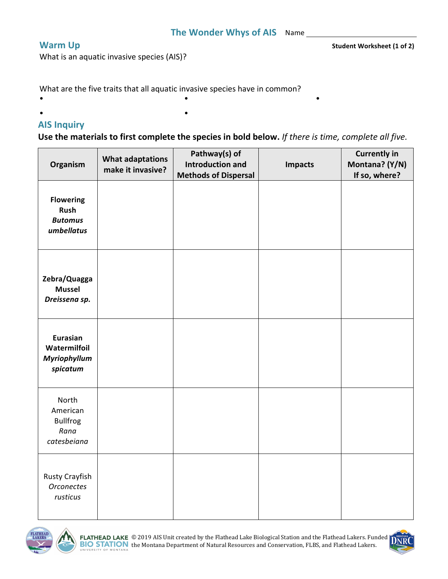**Warm Up Student Worksheet** (1 of 2)

What is an aquatic invasive species (AIS)?

What are the five traits that all aquatic invasive species have in common?

 $\bullet$  and the contract of the contract of the contract of the contract of the contract of the contract of the contract of the contract of the contract of the contract of the contract of the contract of the contract of the

 $\bullet$  and  $\bullet$  and  $\bullet$  and  $\bullet$  and  $\bullet$ 

## **AIS Inquiry**

Use the materials to first complete the species in bold below. If there is time, complete all five.

| Organism                                                    | <b>What adaptations</b><br>make it invasive? | Pathway(s) of<br><b>Introduction and</b> | <b>Impacts</b> | <b>Currently in</b><br>Montana? (Y/N) |
|-------------------------------------------------------------|----------------------------------------------|------------------------------------------|----------------|---------------------------------------|
|                                                             |                                              | <b>Methods of Dispersal</b>              |                | If so, where?                         |
| <b>Flowering</b><br>Rush<br><b>Butomus</b><br>umbellatus    |                                              |                                          |                |                                       |
| Zebra/Quagga<br><b>Mussel</b><br>Dreissena sp.              |                                              |                                          |                |                                       |
| Eurasian<br>Watermilfoil<br>Myriophyllum<br>spicatum        |                                              |                                          |                |                                       |
| North<br>American<br><b>Bullfrog</b><br>Rana<br>catesbeiana |                                              |                                          |                |                                       |
| Rusty Crayfish<br><b>Orconectes</b><br>rusticus             |                                              |                                          |                |                                       |